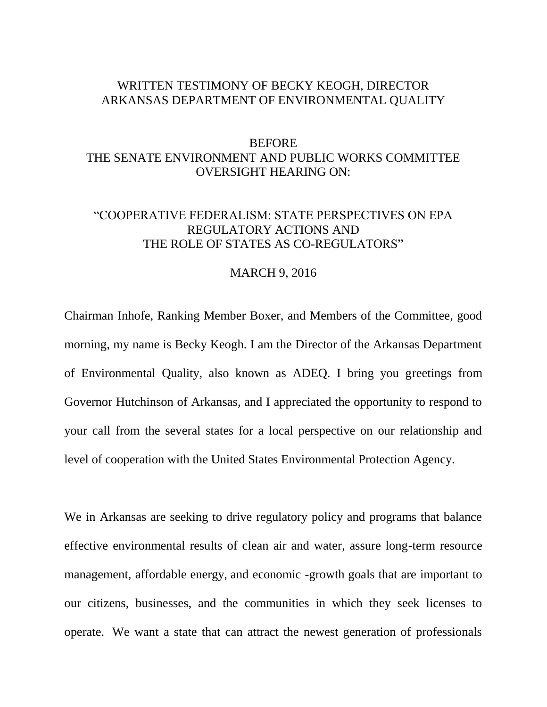## WRITTEN TESTIMONY OF BECKY KEOGH, DIRECTOR ARKANSAS DEPARTMENT OF ENVIRONMENTAL QUALITY

## **BEFORE** THE SENATE ENVIRONMENT AND PUBLIC WORKS COMMITTEE OVERSIGHT HEARING ON:

## "COOPERATIVE FEDERALISM: STATE PERSPECTIVES ON EPA REGULATORY ACTIONS AND THE ROLE OF STATES AS CO-REGULATORS"

## MARCH 9, 2016

Chairman Inhofe, Ranking Member Boxer, and Members of the Committee, good morning, my name is Becky Keogh. I am the Director of the Arkansas Department of Environmental Quality, also known as ADEQ. I bring you greetings from Governor Hutchinson of Arkansas, and I appreciated the opportunity to respond to your call from the several states for a local perspective on our relationship and level of cooperation with the United States Environmental Protection Agency.

We in Arkansas are seeking to drive regulatory policy and programs that balance effective environmental results of clean air and water, assure long-term resource management, affordable energy, and economic -growth goals that are important to our citizens, businesses, and the communities in which they seek licenses to operate. We want a state that can attract the newest generation of professionals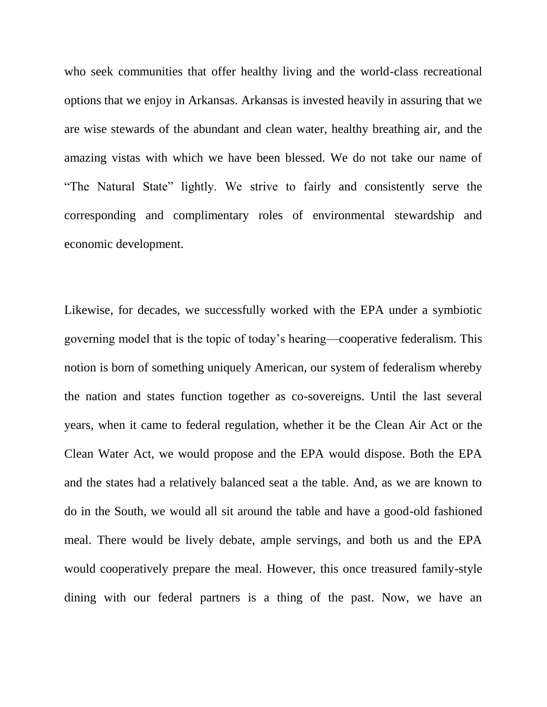who seek communities that offer healthy living and the world-class recreational options that we enjoy in Arkansas. Arkansas is invested heavily in assuring that we are wise stewards of the abundant and clean water, healthy breathing air, and the amazing vistas with which we have been blessed. We do not take our name of "The Natural State" lightly. We strive to fairly and consistently serve the corresponding and complimentary roles of environmental stewardship and economic development.

Likewise, for decades, we successfully worked with the EPA under a symbiotic governing model that is the topic of today's hearing—cooperative federalism. This notion is born of something uniquely American, our system of federalism whereby the nation and states function together as co-sovereigns. Until the last several years, when it came to federal regulation, whether it be the Clean Air Act or the Clean Water Act, we would propose and the EPA would dispose. Both the EPA and the states had a relatively balanced seat a the table. And, as we are known to do in the South, we would all sit around the table and have a good-old fashioned meal. There would be lively debate, ample servings, and both us and the EPA would cooperatively prepare the meal. However, this once treasured family-style dining with our federal partners is a thing of the past. Now, we have an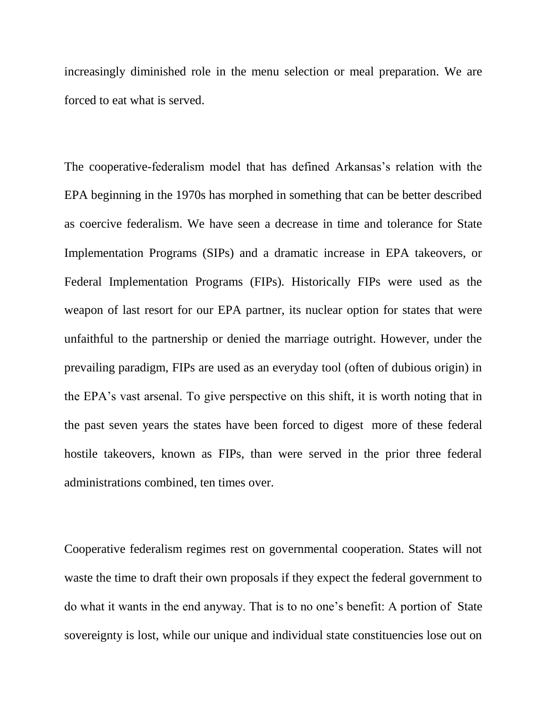increasingly diminished role in the menu selection or meal preparation. We are forced to eat what is served.

The cooperative-federalism model that has defined Arkansas's relation with the EPA beginning in the 1970s has morphed in something that can be better described as coercive federalism. We have seen a decrease in time and tolerance for State Implementation Programs (SIPs) and a dramatic increase in EPA takeovers, or Federal Implementation Programs (FIPs). Historically FIPs were used as the weapon of last resort for our EPA partner, its nuclear option for states that were unfaithful to the partnership or denied the marriage outright. However, under the prevailing paradigm, FIPs are used as an everyday tool (often of dubious origin) in the EPA's vast arsenal. To give perspective on this shift, it is worth noting that in the past seven years the states have been forced to digest more of these federal hostile takeovers, known as FIPs, than were served in the prior three federal administrations combined, ten times over.

Cooperative federalism regimes rest on governmental cooperation. States will not waste the time to draft their own proposals if they expect the federal government to do what it wants in the end anyway. That is to no one's benefit: A portion of State sovereignty is lost, while our unique and individual state constituencies lose out on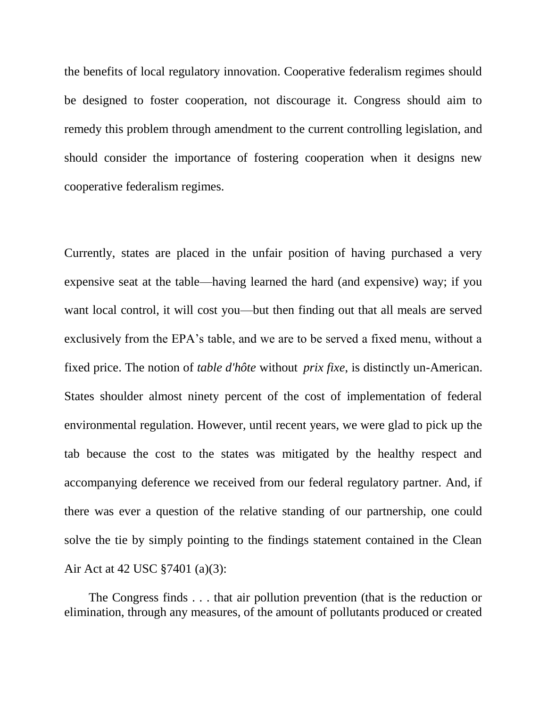the benefits of local regulatory innovation. Cooperative federalism regimes should be designed to foster cooperation, not discourage it. Congress should aim to remedy this problem through amendment to the current controlling legislation, and should consider the importance of fostering cooperation when it designs new cooperative federalism regimes.

Currently, states are placed in the unfair position of having purchased a very expensive seat at the table—having learned the hard (and expensive) way; if you want local control, it will cost you—but then finding out that all meals are served exclusively from the EPA's table, and we are to be served a fixed menu, without a fixed price. The notion of *table d'hôte* without *prix fixe*, is distinctly un-American. States shoulder almost ninety percent of the cost of implementation of federal environmental regulation. However, until recent years, we were glad to pick up the tab because the cost to the states was mitigated by the healthy respect and accompanying deference we received from our federal regulatory partner. And, if there was ever a question of the relative standing of our partnership, one could solve the tie by simply pointing to the findings statement contained in the Clean Air Act at 42 USC §7401 (a)(3):

 The Congress finds . . . that air pollution prevention (that is the reduction or elimination, through any measures, of the amount of pollutants produced or created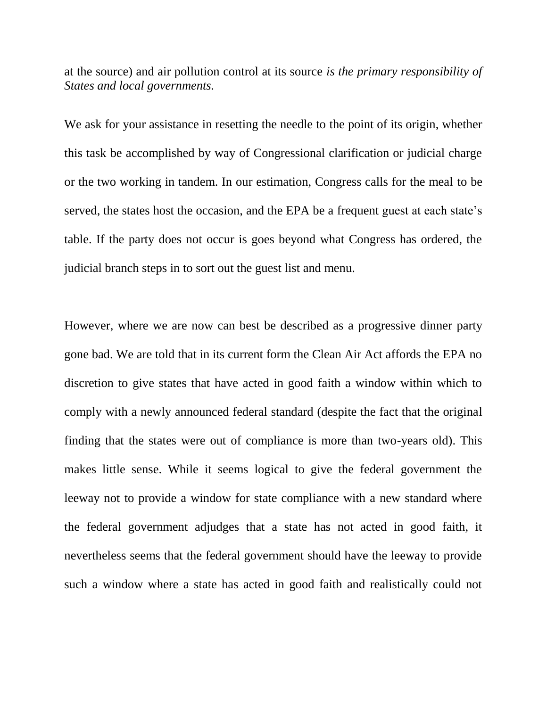at the source) and air pollution control at its source *is the primary responsibility of States and local governments.*

We ask for your assistance in resetting the needle to the point of its origin, whether this task be accomplished by way of Congressional clarification or judicial charge or the two working in tandem. In our estimation, Congress calls for the meal to be served, the states host the occasion, and the EPA be a frequent guest at each state's table. If the party does not occur is goes beyond what Congress has ordered, the judicial branch steps in to sort out the guest list and menu.

However, where we are now can best be described as a progressive dinner party gone bad. We are told that in its current form the Clean Air Act affords the EPA no discretion to give states that have acted in good faith a window within which to comply with a newly announced federal standard (despite the fact that the original finding that the states were out of compliance is more than two-years old). This makes little sense. While it seems logical to give the federal government the leeway not to provide a window for state compliance with a new standard where the federal government adjudges that a state has not acted in good faith, it nevertheless seems that the federal government should have the leeway to provide such a window where a state has acted in good faith and realistically could not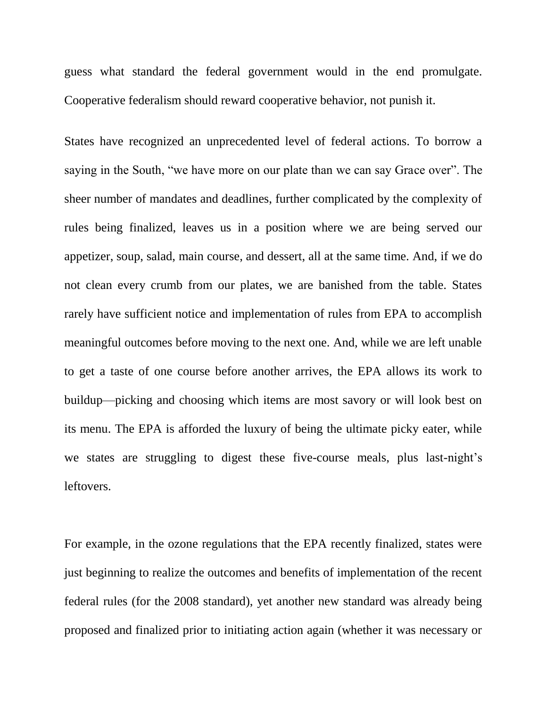guess what standard the federal government would in the end promulgate. Cooperative federalism should reward cooperative behavior, not punish it.

States have recognized an unprecedented level of federal actions. To borrow a saying in the South, "we have more on our plate than we can say Grace over". The sheer number of mandates and deadlines, further complicated by the complexity of rules being finalized, leaves us in a position where we are being served our appetizer, soup, salad, main course, and dessert, all at the same time. And, if we do not clean every crumb from our plates, we are banished from the table. States rarely have sufficient notice and implementation of rules from EPA to accomplish meaningful outcomes before moving to the next one. And, while we are left unable to get a taste of one course before another arrives, the EPA allows its work to buildup—picking and choosing which items are most savory or will look best on its menu. The EPA is afforded the luxury of being the ultimate picky eater, while we states are struggling to digest these five-course meals, plus last-night's leftovers.

For example, in the ozone regulations that the EPA recently finalized, states were just beginning to realize the outcomes and benefits of implementation of the recent federal rules (for the 2008 standard), yet another new standard was already being proposed and finalized prior to initiating action again (whether it was necessary or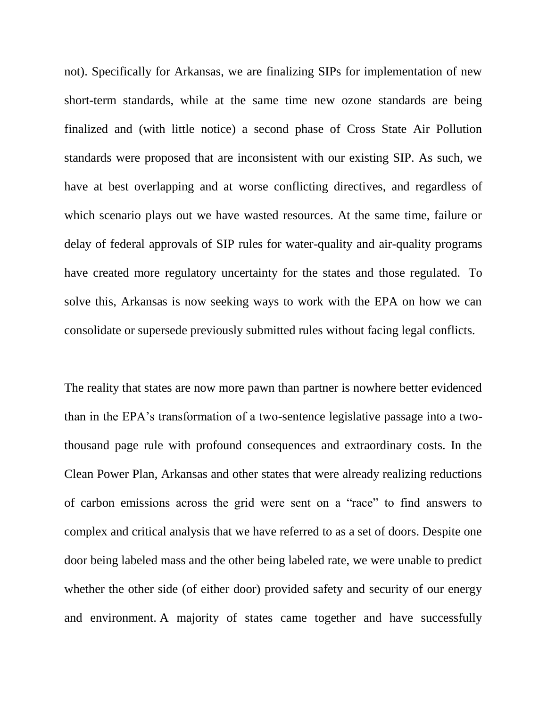not). Specifically for Arkansas, we are finalizing SIPs for implementation of new short-term standards, while at the same time new ozone standards are being finalized and (with little notice) a second phase of Cross State Air Pollution standards were proposed that are inconsistent with our existing SIP. As such, we have at best overlapping and at worse conflicting directives, and regardless of which scenario plays out we have wasted resources. At the same time, failure or delay of federal approvals of SIP rules for water-quality and air-quality programs have created more regulatory uncertainty for the states and those regulated. To solve this, Arkansas is now seeking ways to work with the EPA on how we can consolidate or supersede previously submitted rules without facing legal conflicts.

The reality that states are now more pawn than partner is nowhere better evidenced than in the EPA's transformation of a two-sentence legislative passage into a twothousand page rule with profound consequences and extraordinary costs. In the Clean Power Plan, Arkansas and other states that were already realizing reductions of carbon emissions across the grid were sent on a "race" to find answers to complex and critical analysis that we have referred to as a set of doors. Despite one door being labeled mass and the other being labeled rate, we were unable to predict whether the other side (of either door) provided safety and security of our energy and environment. A majority of states came together and have successfully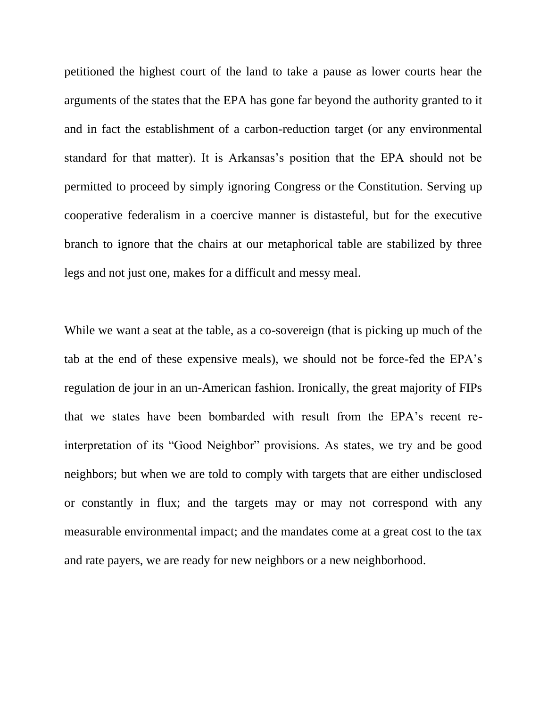petitioned the highest court of the land to take a pause as lower courts hear the arguments of the states that the EPA has gone far beyond the authority granted to it and in fact the establishment of a carbon-reduction target (or any environmental standard for that matter). It is Arkansas's position that the EPA should not be permitted to proceed by simply ignoring Congress or the Constitution. Serving up cooperative federalism in a coercive manner is distasteful, but for the executive branch to ignore that the chairs at our metaphorical table are stabilized by three legs and not just one, makes for a difficult and messy meal.

While we want a seat at the table, as a co-sovereign (that is picking up much of the tab at the end of these expensive meals), we should not be force-fed the EPA's regulation de jour in an un-American fashion. Ironically, the great majority of FIPs that we states have been bombarded with result from the EPA's recent reinterpretation of its "Good Neighbor" provisions. As states, we try and be good neighbors; but when we are told to comply with targets that are either undisclosed or constantly in flux; and the targets may or may not correspond with any measurable environmental impact; and the mandates come at a great cost to the tax and rate payers, we are ready for new neighbors or a new neighborhood.